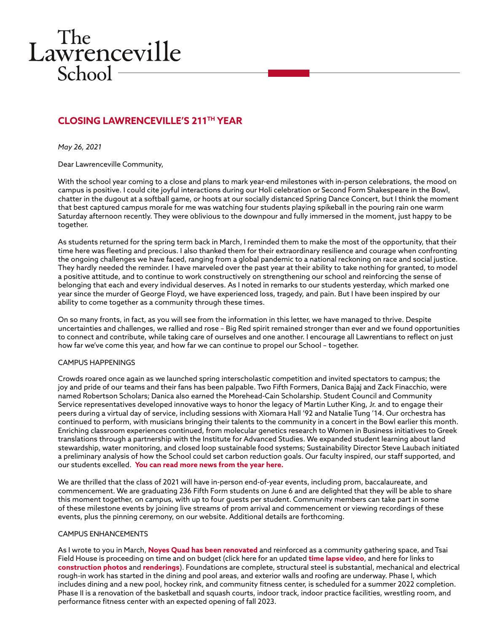# The<br>Lawrenceville  $School -$

## **CLOSING LAWRENCEVILLE'S 211TH YEAR**

*May 26, 2021*

Dear Lawrenceville Community,

With the school year coming to a close and plans to mark year-end milestones with in-person celebrations, the mood on campus is positive. I could cite joyful interactions during our Holi celebration or Second Form Shakespeare in the Bowl, chatter in the dugout at a softball game, or hoots at our socially distanced Spring Dance Concert, but I think the moment that best captured campus morale for me was watching four students playing spikeball in the pouring rain one warm Saturday afternoon recently. They were oblivious to the downpour and fully immersed in the moment, just happy to be together.

As students returned for the spring term back in March, I reminded them to make the most of the opportunity, that their time here was fleeting and precious. I also thanked them for their extraordinary resilience and courage when confronting the ongoing challenges we have faced, ranging from a global pandemic to a national reckoning on race and social justice. They hardly needed the reminder. I have marveled over the past year at their ability to take nothing for granted, to model a positive attitude, and to continue to work constructively on strengthening our school and reinforcing the sense of belonging that each and every individual deserves. As I noted in remarks to our students yesterday, which marked one year since the murder of George Floyd, we have experienced loss, tragedy, and pain. But I have been inspired by our ability to come together as a community through these times.

On so many fronts, in fact, as you will see from the information in this letter, we have managed to thrive. Despite uncertainties and challenges, we rallied and rose – Big Red spirit remained stronger than ever and we found opportunities to connect and contribute, while taking care of ourselves and one another. I encourage all Lawrentians to reflect on just how far we've come this year, and how far we can continue to propel our School – together.

#### CAMPUS HAPPENINGS

Crowds roared once again as we launched spring interscholastic competition and invited spectators to campus; the joy and pride of our teams and their fans has been palpable. Two Fifth Formers, Danica Bajaj and Zack Finacchio, were named Robertson Scholars; Danica also earned the Morehead-Cain Scholarship. Student Council and Community Service representatives developed innovative ways to honor the legacy of Martin Luther King, Jr. and to engage their peers during a virtual day of service, including sessions with Xiomara Hall '92 and Natalie Tung '14. Our orchestra has continued to perform, with musicians bringing their talents to the community in a concert in the Bowl earlier this month. Enriching classroom experiences continued, from molecular genetics research to Women in Business initiatives to Greek translations through a partnership with the Institute for Advanced Studies. We expanded student learning about land stewardship, water monitoring, and closed loop sustainable food systems; Sustainability Director Steve Laubach initiated a preliminary analysis of how the School could set carbon reduction goals. Our faculty inspired, our staff supported, and our students excelled. **[You can read more news from the year here.](https://www.lawrenceville.org/life-at-lawrenceville/news-events)**

We are thrilled that the class of 2021 will have in-person end-of-year events, including prom, baccalaureate, and commencement. We are graduating 236 Fifth Form students on June 6 and are delighted that they will be able to share this moment together, on campus, with up to four guests per student. Community members can take part in some of these milestone events by joining live streams of prom arrival and commencement or viewing recordings of these events, plus the pinning ceremony, on our website. Additional details are forthcoming.

#### CAMPUS ENHANCEMENTS

As I wrote to you in March, **[Noyes Quad has been renovated](https://www.flickr.com/photos/thelawrencevilleschool/albums/72157718082495068)** and reinforced as a community gathering space, and Tsai Field House is proceeding on time and on budget (click here for an updated **[time lapse video](https://www.youtube.com/watch?v=jI3qUHV8au0)**, and here for links to **[construction photos](https://www.flickr.com/photos/thelawrencevilleschool/albums/72157718593609026)** and **[renderings](https://www.flickr.com/photos/thelawrencevilleschool/albums/72157718599121672)**). Foundations are complete, structural steel is substantial, mechanical and electrical rough-in work has started in the dining and pool areas, and exterior walls and roofing are underway. Phase I, which includes dining and a new pool, hockey rink, and community fitness center, is scheduled for a summer 2022 completion. Phase II is a renovation of the basketball and squash courts, indoor track, indoor practice facilities, wrestling room, and performance fitness center with an expected opening of fall 2023.